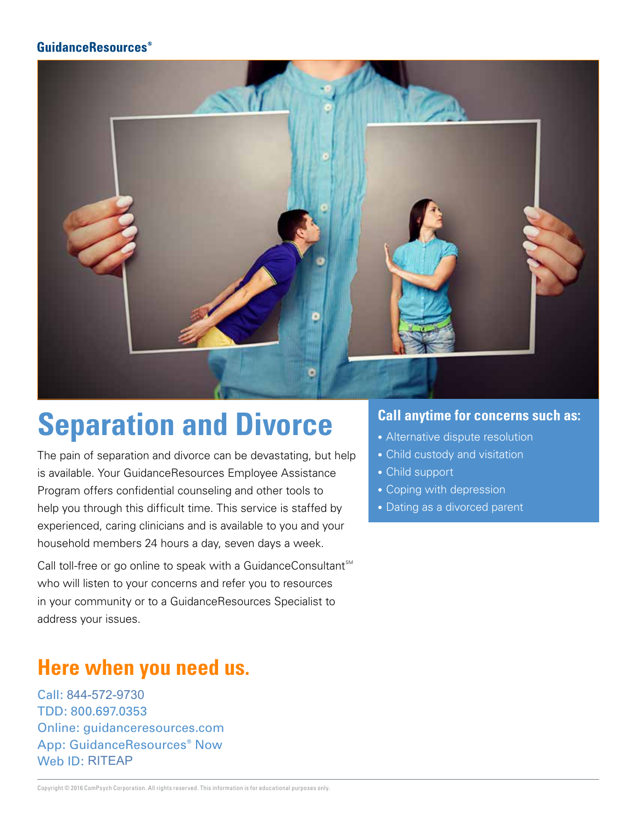

## **Separation and Divorce**

The pain of separation and divorce can be devastating, but help is available. Your GuidanceResources Employee Assistance Program offers confidential counseling and other tools to help you through this difficult time. This service is staffed by experienced, caring clinicians and is available to you and your household members 24 hours a day, seven days a week.

Call toll-free or go online to speak with a GuidanceConsultant<sup>SM</sup> who will listen to your concerns and refer you to resources in your community or to a GuidanceResources Specialist to address your issues.

## **Here when you need us.**

Call: 844-572-9730 TDD: 800.697.0353 Online: guidanceresources.com App: GuidanceResources® Now Web **ID**: RITEAP 844-572-9730<br>800.697.0353<br>e: guidancere<br>GuidanceRes<br>ID: RITEAP

- Alternative dispute resolution
- Child custody and visitation
- Child support
- Coping with depression
- Dating as a divorced parent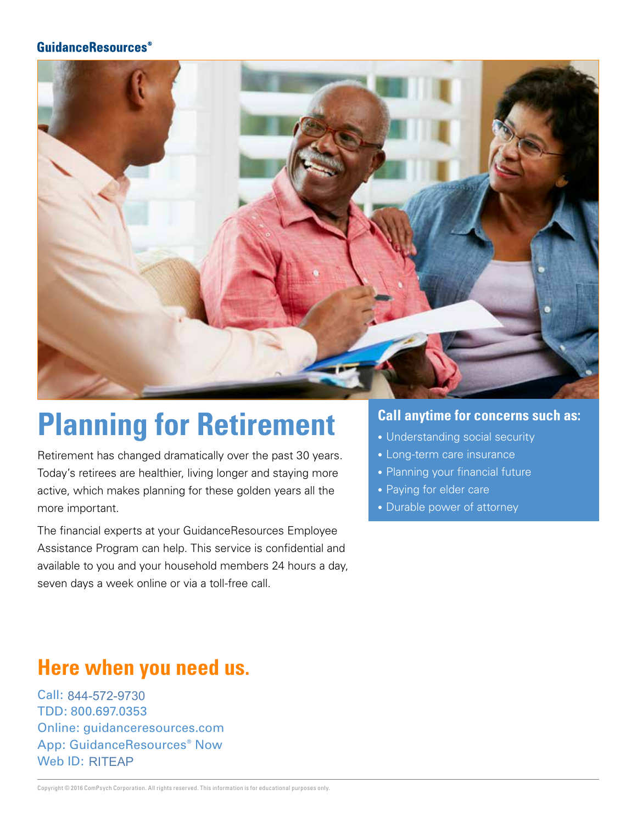

## **Planning for Retirement**

Retirement has changed dramatically over the past 30 years. Today's retirees are healthier, living longer and staying more active, which makes planning for these golden years all the more important.

The financial experts at your GuidanceResources Employee Assistance Program can help. This service is confidential and available to you and your household members 24 hours a day, seven days a week online or via a toll-free call.

#### **Call anytime for concerns such as:**

- Understanding social security
- Long-term care insurance
- Planning your financial future
- Paying for elder care
- Durable power of attorney

### **Here when you need us.**

Call: 844-572-9730 TDD: 800.697.0353 Online: guidanceresources.com App: GuidanceResources® Now Web **ID: RITEAP** 844-572-9730<br>800.697.0353<br>e: guidancere<br>GuidanceRese<br>ID: RITEAP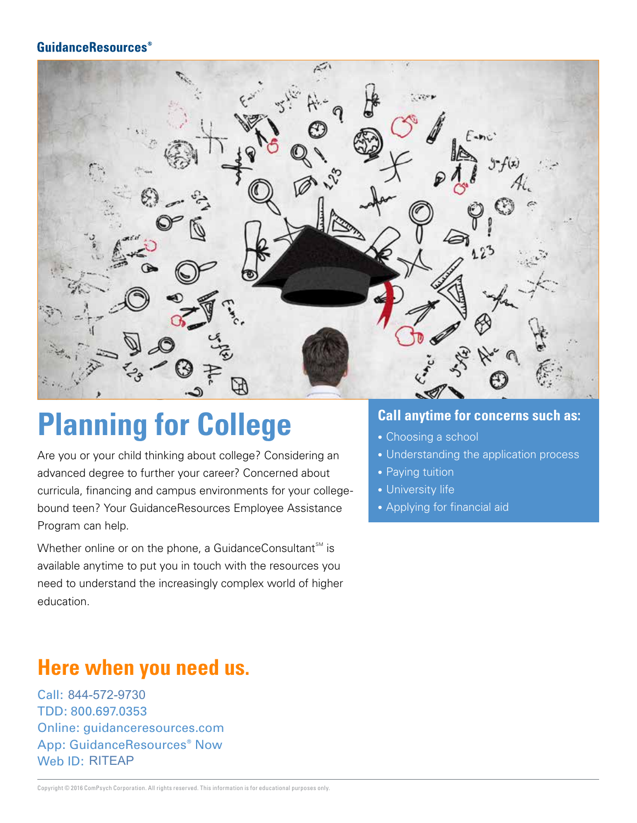

## **Planning for College**

Are you or your child thinking about college? Considering an advanced degree to further your career? Concerned about curricula, financing and campus environments for your collegebound teen? Your GuidanceResources Employee Assistance Program can help.

Whether online or on the phone, a GuidanceConsultant<sup>SM</sup> is available anytime to put you in touch with the resources you need to understand the increasingly complex world of higher education.

### **Here when you need us.**

Call: 844-572-9730 TDD: 800.697.0353 Online: guidanceresources.com App: GuidanceResources® Now Web **ID: RITEAP** 844-572-9730<br>800.697.0353<br>e: guidancere<br>GuidanceRese<br>ID: RITEAP

- Choosing a school
- Understanding the application process
- Paying tuition
- University life
- Applying for financial aid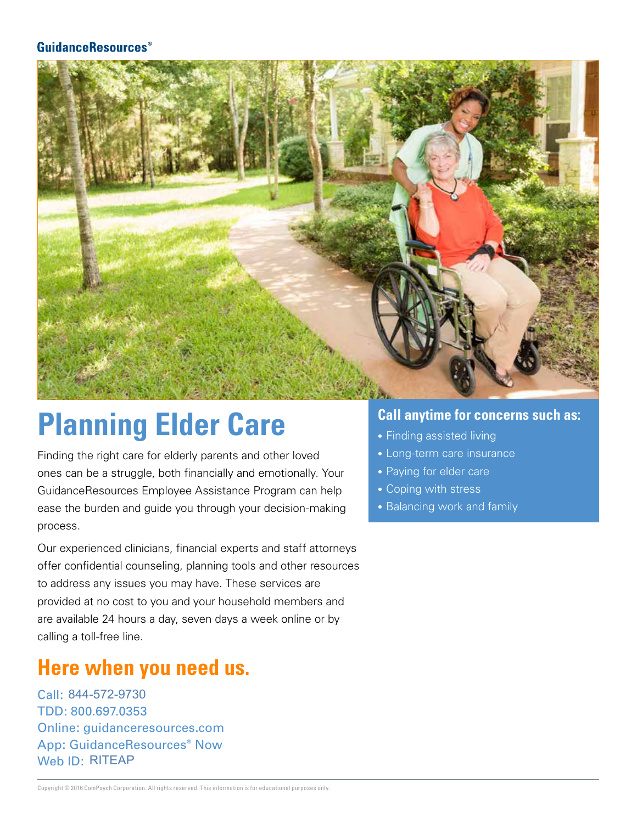

## **Planning Elder Care**

Finding the right care for elderly parents and other loved ones can be a struggle, both financially and emotionally. Your GuidanceResources Employee Assistance Program can help ease the burden and guide you through your decision-making process.

Our experienced clinicians, financial experts and staff attorneys offer confidential counseling, planning tools and other resources to address any issues you may have. These services are provided at no cost to you and your household members and are available 24 hours a day, seven days a week online or by calling a toll-free line.

### **Here when you need us.**

Call: 844-572-9730 TDD: 800.697.0353 Online: guidanceresources.com App: GuidanceResources® Now Web ID: RITEAP 844-572-9730<br>800.697.0353<br>e: guidancere<br>GuidanceReso<br>ID: RITEAP

- Finding assisted living
- Long-term care insurance
- Paying for elder care
- Coping with stress
- Balancing work and family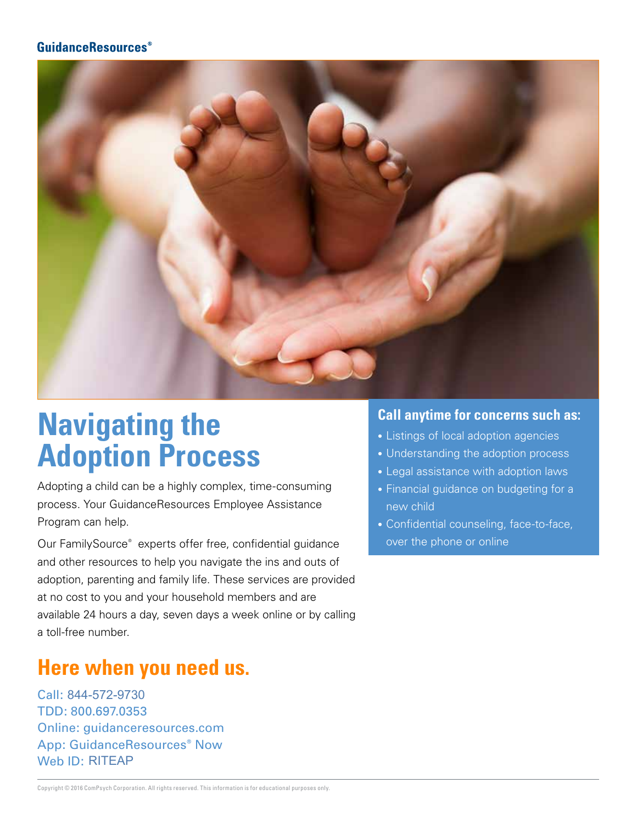

## **Navigating the Adoption Process**

Adopting a child can be a highly complex, time-consuming process. Your GuidanceResources Employee Assistance Program can help.

Our FamilySource® experts offer free, confidential guidance and other resources to help you navigate the ins and outs of adoption, parenting and family life. These services are provided at no cost to you and your household members and are available 24 hours a day, seven days a week online or by calling a toll-free number.

### **Here when you need us.**

Call: 844-572-9730 TDD: 800.697.0353 Online: guidanceresources.com App: GuidanceResources® Now Web **ID**: RITEAP 844-572-9730<br>800.697.0353<br>e: guidancere<br>GuidanceRes<br>ID: RITEAP

- Listings of local adoption agencies
- Understanding the adoption process
- Legal assistance with adoption laws
- Financial guidance on budgeting for a new child
- Confidential counseling, face-to-face, over the phone or online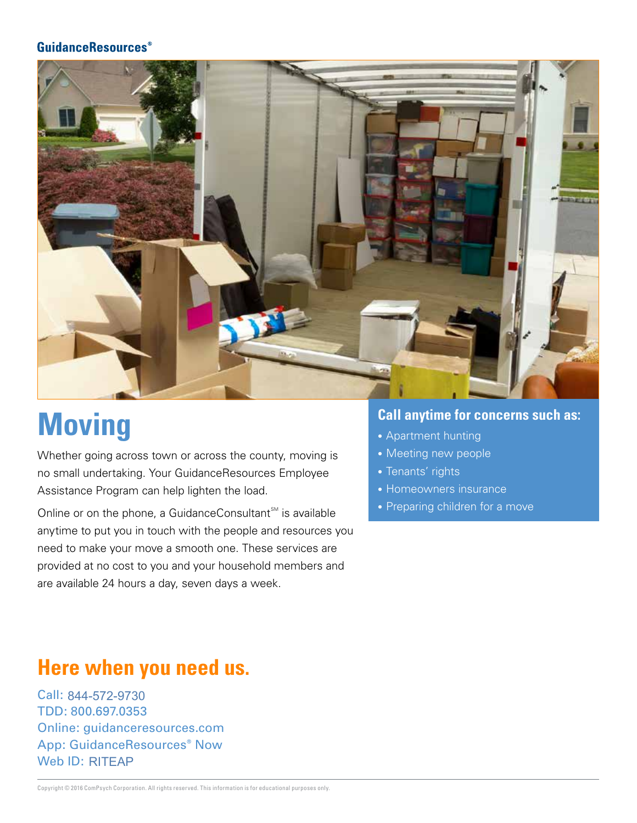

# **Moving**

Whether going across town or across the county, moving is no small undertaking. Your GuidanceResources Employee Assistance Program can help lighten the load.

Online or on the phone, a GuidanceConsultant $\mathbb{S}^{\mathbb{M}}$  is available anytime to put you in touch with the people and resources you need to make your move a smooth one. These services are provided at no cost to you and your household members and are available 24 hours a day, seven days a week.

#### **Call anytime for concerns such as:**

- Apartment hunting
- Meeting new people
- Tenants' rights
- Homeowners insurance
- Preparing children for a move

### **Here when you need us.**

Call: 844-572-9730 TDD: 800.697.0353 Online: guidanceresources.com App: GuidanceResources® Now Web **ID**: RITEAP 844-572-9730<br>800.697.0353<br>e: guidancere<br>GuidanceRese<br>ID: RITEAP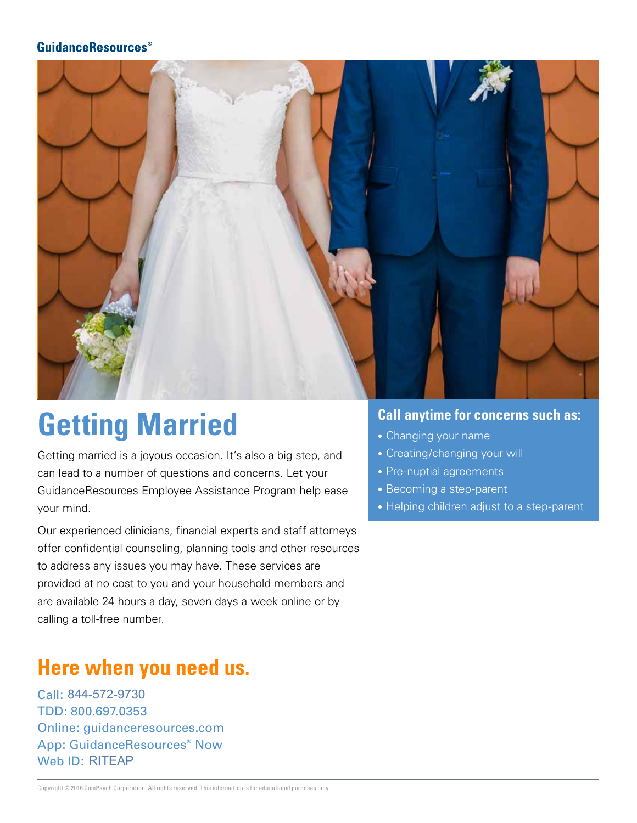

## **Getting Married**

Getting married is a joyous occasion. It's also a big step, and can lead to a number of questions and concerns. Let your GuidanceResources Employee Assistance Program help ease your mind.

Our experienced clinicians, financial experts and staff attorneys offer confidential counseling, planning tools and other resources to address any issues you may have. These services are provided at no cost to you and your household members and are available 24 hours a day, seven days a week online or by calling a toll-free number.

### **Here when you need us.**

Call: 844-572-9730 TDD: 800.697.0353 Online: guidanceresources.com App: GuidanceResources® Now Web **ID**: RITEAP 844-572-9730<br>800.697.0353<br>e: guidancere<br>GuidanceRese<br>ID: RITEAP

- Changing your name
- Creating/changing your will
- Pre-nuptial agreements
- Becoming a step-parent
- Helping children adjust to a step-parent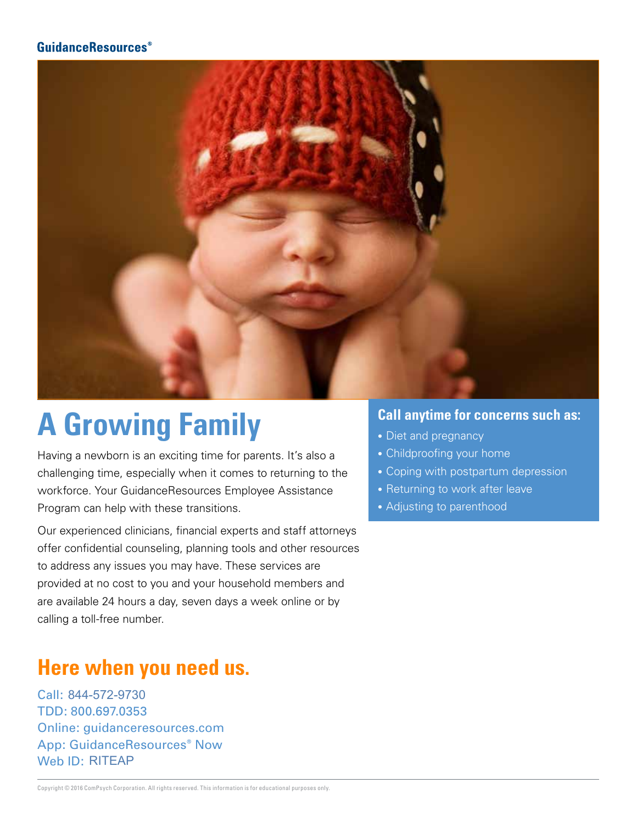

# **A Growing Family**

Having a newborn is an exciting time for parents. It's also a challenging time, especially when it comes to returning to the workforce. Your GuidanceResources Employee Assistance Program can help with these transitions.

Our experienced clinicians, financial experts and staff attorneys offer confidential counseling, planning tools and other resources to address any issues you may have. These services are provided at no cost to you and your household members and are available 24 hours a day, seven days a week online or by calling a toll-free number.

## **Here when you need us.**

Call: 844-572-9730 TDD: 800.697.0353 Online: guidanceresources.com App: GuidanceResources® Now Web **ID: RITEAP** 844-572-9730<br>800.697.0353<br>e: guidancere<br>GuidanceRese<br>ID: RITEAP

- Diet and pregnancy
- Childproofing your home
- Coping with postpartum depression
- Returning to work after leave
- Adjusting to parenthood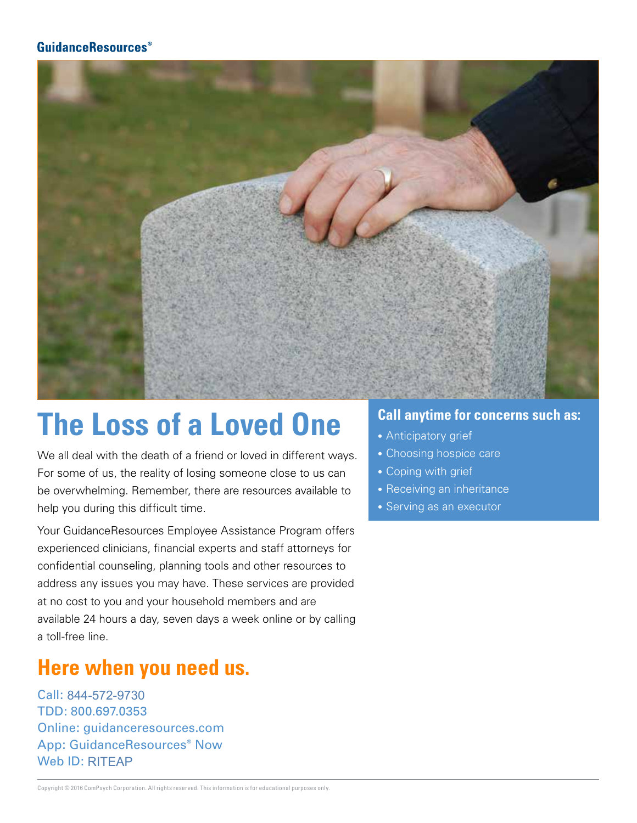

## **The Loss of a Loved One**

We all deal with the death of a friend or loved in different ways. For some of us, the reality of losing someone close to us can be overwhelming. Remember, there are resources available to help you during this difficult time.

Your GuidanceResources Employee Assistance Program offers experienced clinicians, financial experts and staff attorneys for confidential counseling, planning tools and other resources to address any issues you may have. These services are provided at no cost to you and your household members and are available 24 hours a day, seven days a week online or by calling a toll-free line.

### **Here when you need us.**

Call: 844-572-9730 TDD: 800.697.0353 Online: guidanceresources.com App: GuidanceResources® Now Web **ID**: RITEAP 844-572-9730<br>800.697.0353<br>e: guidancere<br>GuidanceRes<br>ID: RITEAP

- Anticipatory grief
- Choosing hospice care
- Coping with grief
- Receiving an inheritance
- Serving as an executor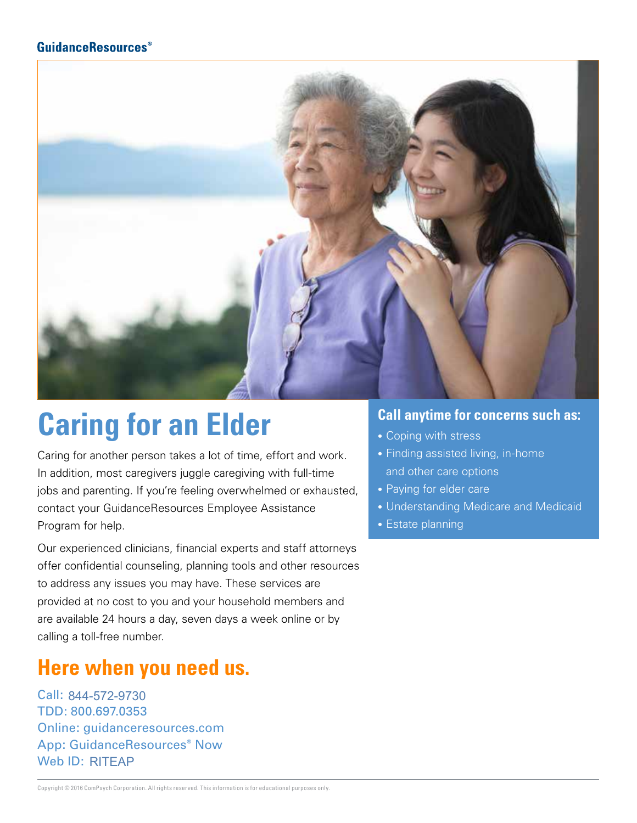

## **Caring for an Elder**

Caring for another person takes a lot of time, effort and work. In addition, most caregivers juggle caregiving with full-time jobs and parenting. If you're feeling overwhelmed or exhausted, contact your GuidanceResources Employee Assistance Program for help.

Our experienced clinicians, financial experts and staff attorneys offer confidential counseling, planning tools and other resources to address any issues you may have. These services are provided at no cost to you and your household members and are available 24 hours a day, seven days a week online or by calling a toll-free number.

### **Here when you need us.**

Call: 844-572-9730 TDD: 800.697.0353 Online: guidanceresources.com App: GuidanceResources® Now Web **ID: RITEAP** 844-572-9730<br>800.697.0353<br>e: guidancere<br>GuidanceRese<br>ID: RITEAP

- Coping with stress
- Finding assisted living, in-home and other care options
- Paying for elder care
- Understanding Medicare and Medicaid
- Estate planning